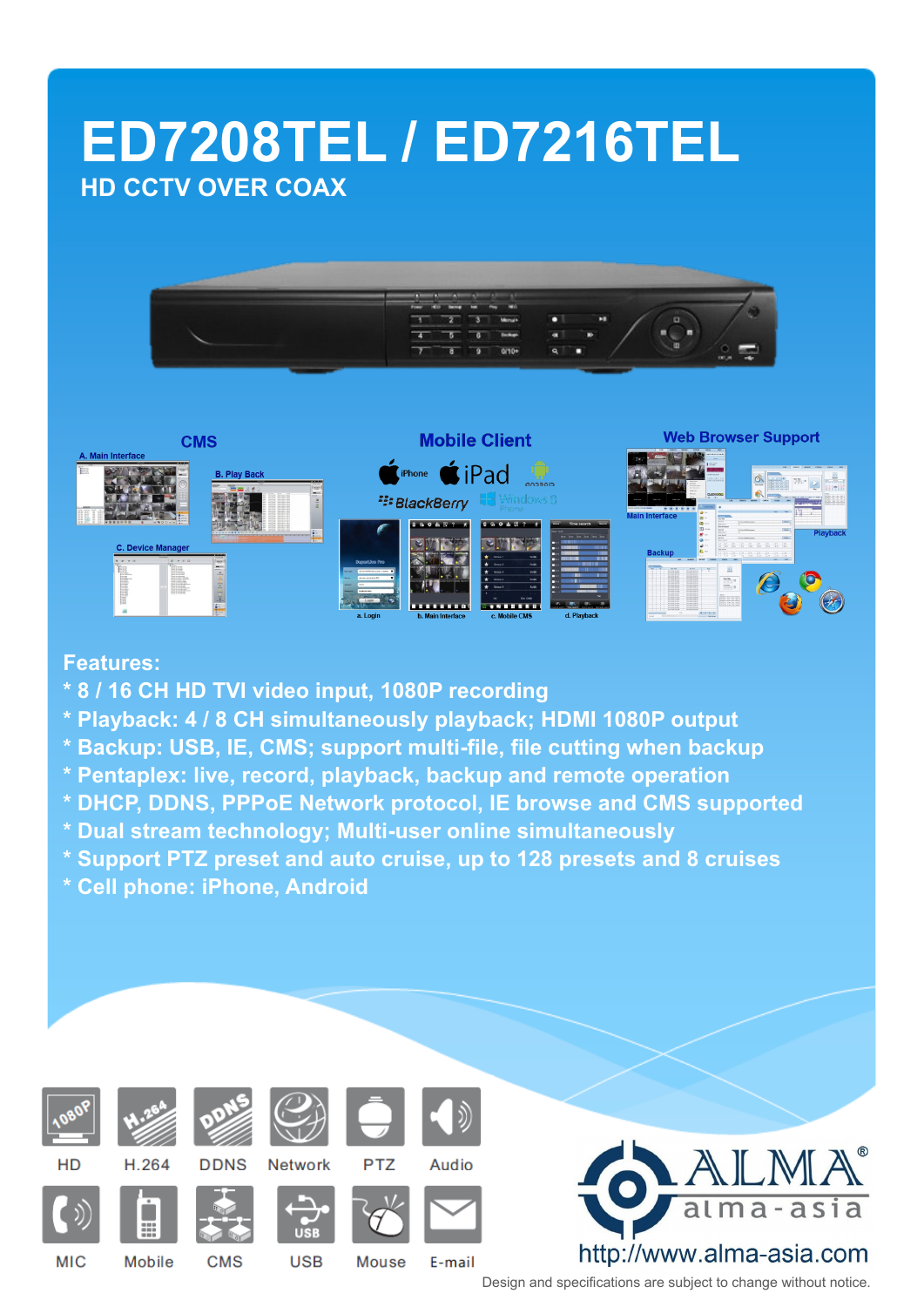# **ED7208TEL / ED7216TEL HD CCTV OVER COAX**





#### **Features:**

- **\* 8 / 16 CH HD TVI video input, 1080P recording**
- **\* Playback: 4 / 8 CH simultaneously playback; HDMI 1080P output**
- **\* Backup: USB, IE, CMS; support multi-file, file cutting when backup**
- **\* Pentaplex: live, record, playback, backup and remote operation**
- **\* DHCP, DDNS, PPPoE Network protocol, IE browse and CMS supported**
- **\* Dual stream technology; Multi-user online simultaneously**
- **\* Support PTZ preset and auto cruise, up to 128 presets and 8 cruises**
- **\* Cell phone: iPhone, Android**



**MIC** 



**H 264** 

m

**Mobile** 





**Mouse** 







**CMS** 

**USB** 





E-mail





Design and specifications are subject to change without notice.